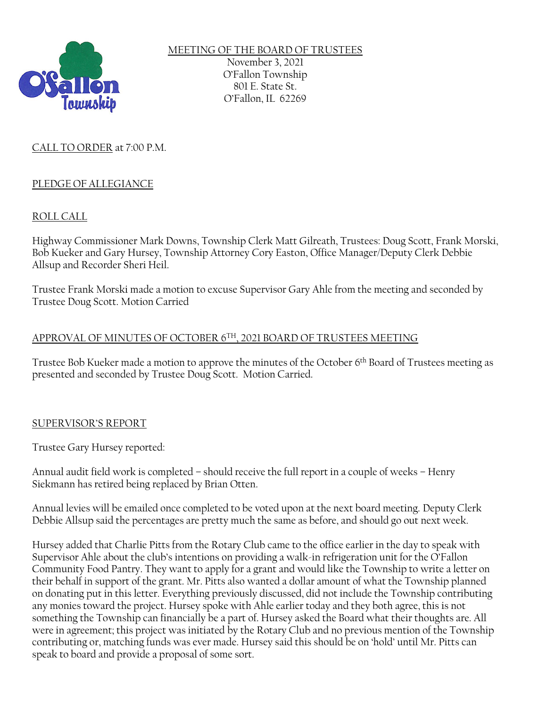

MEETING OF THE BOARD OF TRUSTEES November 3, 2021 O'Fallon Township 801 E. State St. O'Fallon, IL 62269

# CALL TO ORDER at 7:00 P.M.

# PLEDGE OF ALLEGIANCE

# ROLL CALL

Highway Commissioner Mark Downs, Township Clerk Matt Gilreath, Trustees: Doug Scott, Frank Morski, Bob Kueker and Gary Hursey, Township Attorney Cory Easton, Office Manager/Deputy Clerk Debbie Allsup and Recorder Sheri Heil.

Trustee Frank Morski made a motion to excuse Supervisor Gary Ahle from the meeting and seconded by Trustee Doug Scott. Motion Carried

# APPROVAL OF MINUTES OF OCTOBER 6TH, 2021 BOARD OF TRUSTEES MEETING

Trustee Bob Kueker made a motion to approve the minutes of the October 6th Board of Trustees meeting as presented and seconded by Trustee Doug Scott. Motion Carried.

# SUPERVISOR'S REPORT

Trustee Gary Hursey reported:

Annual audit field work is completed – should receive the full report in a couple of weeks – Henry Siekmann has retired being replaced by Brian Otten.

Annual levies will be emailed once completed to be voted upon at the next board meeting. Deputy Clerk Debbie Allsup said the percentages are pretty much the same as before, and should go out next week.

Hursey added that Charlie Pitts from the Rotary Club came to the office earlier in the day to speak with Supervisor Ahle about the club's intentions on providing a walk-in refrigeration unit for the O'Fallon Community Food Pantry. They want to apply for a grant and would like the Township to write a letter on their behalf in support of the grant. Mr. Pitts also wanted a dollar amount of what the Township planned on donating put in this letter. Everything previously discussed, did not include the Township contributing any monies toward the project. Hursey spoke with Ahle earlier today and they both agree, this is not something the Township can financially be a part of. Hursey asked the Board what their thoughts are. All were in agreement; this project was initiated by the Rotary Club and no previous mention of the Township contributing or, matching funds was ever made. Hursey said this should be on 'hold' until Mr. Pitts can speak to board and provide a proposal of some sort.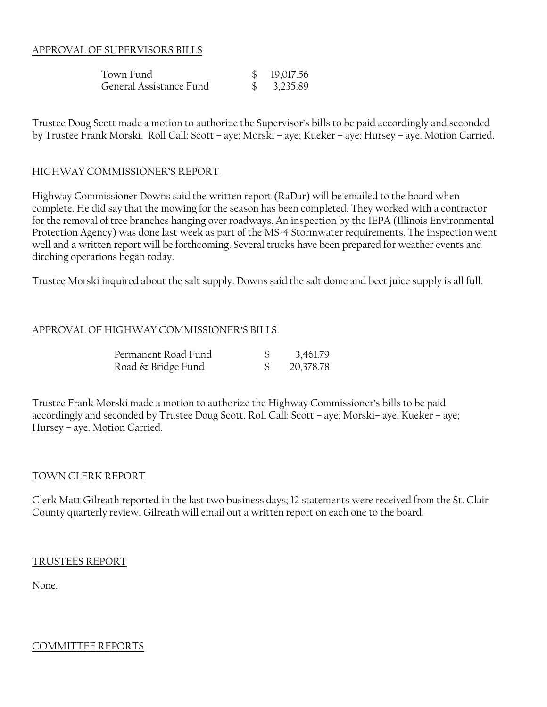### APPROVAL OF SUPERVISORS BILLS

| Town Fund               | \$19,017.56            |
|-------------------------|------------------------|
| General Assistance Fund | $\frac{1}{2}$ 3,235.89 |

Trustee Doug Scott made a motion to authorize the Supervisor's bills to be paid accordingly and seconded by Trustee Frank Morski. Roll Call: Scott – aye; Morski – aye; Kueker – aye; Hursey – aye. Motion Carried.

#### HIGHWAY COMMISSIONER'S REPORT

Highway Commissioner Downs said the written report (RaDar) will be emailed to the board when complete. He did say that the mowing for the season has been completed. They worked with a contractor for the removal of tree branches hanging over roadways. An inspection by the IEPA (Illinois Environmental Protection Agency) was done last week as part of the MS-4 Stormwater requirements. The inspection went well and a written report will be forthcoming. Several trucks have been prepared for weather events and ditching operations began today.

Trustee Morski inquired about the salt supply. Downs said the salt dome and beet juice supply is all full.

#### APPROVAL OF HIGHWAY COMMISSIONER'S BILLS

| Permanent Road Fund | 3,461.79  |
|---------------------|-----------|
| Road & Bridge Fund  | 20,378.78 |

Trustee Frank Morski made a motion to authorize the Highway Commissioner's bills to be paid accordingly and seconded by Trustee Doug Scott. Roll Call: Scott – aye; Morski– aye; Kueker – aye; Hursey – aye. Motion Carried.

#### TOWN CLERK REPORT

Clerk Matt Gilreath reported in the last two business days; 12 statements were received from the St. Clair County quarterly review. Gilreath will email out a written report on each one to the board.

#### TRUSTEES REPORT

None.

#### COMMITTEE REPORTS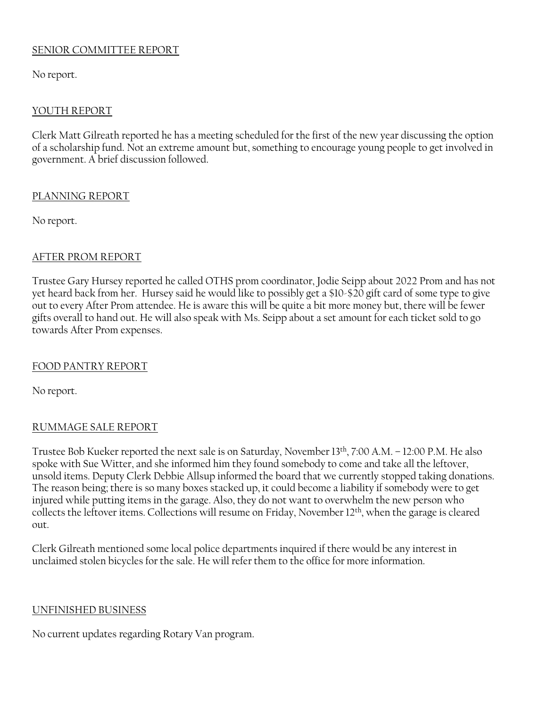# SENIOR COMMITTEE REPORT

No report.

# YOUTH REPORT

Clerk Matt Gilreath reported he has a meeting scheduled for the first of the new year discussing the option of a scholarship fund. Not an extreme amount but, something to encourage young people to get involved in government. A brief discussion followed.

### PLANNING REPORT

No report.

# AFTER PROM REPORT

Trustee Gary Hursey reported he called OTHS prom coordinator, Jodie Seipp about 2022 Prom and has not yet heard back from her. Hursey said he would like to possibly get a \$10-\$20 gift card of some type to give out to every After Prom attendee. He is aware this will be quite a bit more money but, there will be fewer gifts overall to hand out. He will also speak with Ms. Seipp about a set amount for each ticket sold to go towards After Prom expenses.

# FOOD PANTRY REPORT

No report.

# RUMMAGE SALE REPORT

Trustee Bob Kueker reported the next sale is on Saturday, November 13th , 7:00 A.M. – 12:00 P.M. He also spoke with Sue Witter, and she informed him they found somebody to come and take all the leftover, unsold items. Deputy Clerk Debbie Allsup informed the board that we currently stopped taking donations. The reason being; there is so many boxes stacked up, it could become a liability if somebody were to get injured while putting items in the garage. Also, they do not want to overwhelm the new person who collects the leftover items. Collections will resume on Friday, November 12 th, when the garage is cleared out.

Clerk Gilreath mentioned some local police departments inquired if there would be any interest in unclaimed stolen bicycles for the sale. He will refer them to the office for more information.

# UNFINISHED BUSINESS

No current updates regarding Rotary Van program.